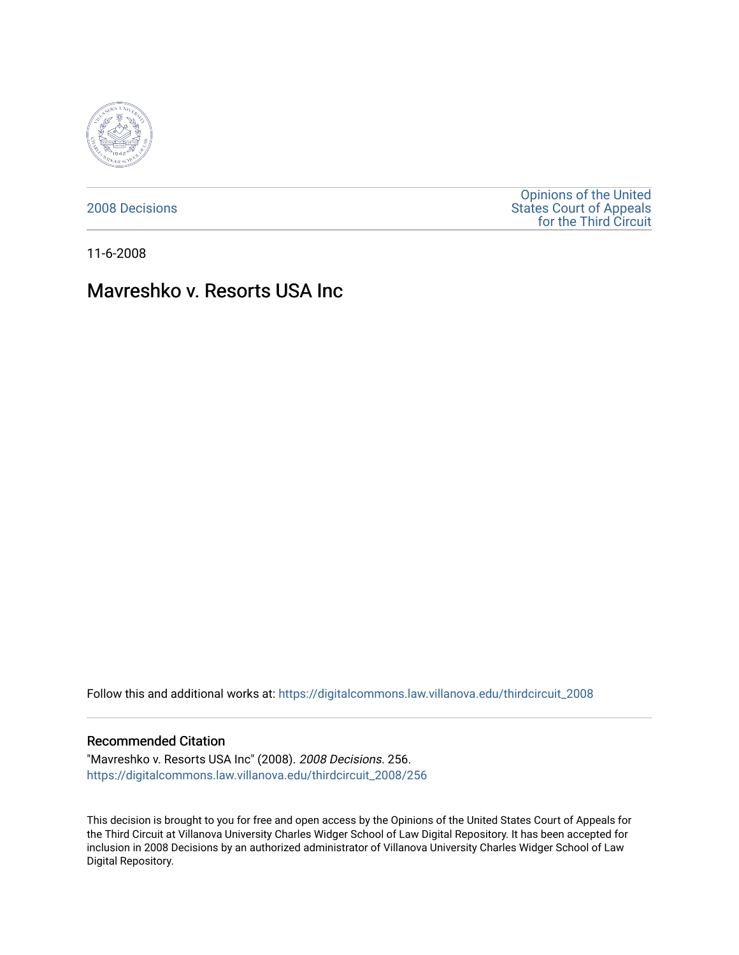

[2008 Decisions](https://digitalcommons.law.villanova.edu/thirdcircuit_2008)

[Opinions of the United](https://digitalcommons.law.villanova.edu/thirdcircuit)  [States Court of Appeals](https://digitalcommons.law.villanova.edu/thirdcircuit)  [for the Third Circuit](https://digitalcommons.law.villanova.edu/thirdcircuit) 

11-6-2008

# Mavreshko v. Resorts USA Inc

Follow this and additional works at: [https://digitalcommons.law.villanova.edu/thirdcircuit\\_2008](https://digitalcommons.law.villanova.edu/thirdcircuit_2008?utm_source=digitalcommons.law.villanova.edu%2Fthirdcircuit_2008%2F256&utm_medium=PDF&utm_campaign=PDFCoverPages) 

#### Recommended Citation

"Mavreshko v. Resorts USA Inc" (2008). 2008 Decisions. 256. [https://digitalcommons.law.villanova.edu/thirdcircuit\\_2008/256](https://digitalcommons.law.villanova.edu/thirdcircuit_2008/256?utm_source=digitalcommons.law.villanova.edu%2Fthirdcircuit_2008%2F256&utm_medium=PDF&utm_campaign=PDFCoverPages)

This decision is brought to you for free and open access by the Opinions of the United States Court of Appeals for the Third Circuit at Villanova University Charles Widger School of Law Digital Repository. It has been accepted for inclusion in 2008 Decisions by an authorized administrator of Villanova University Charles Widger School of Law Digital Repository.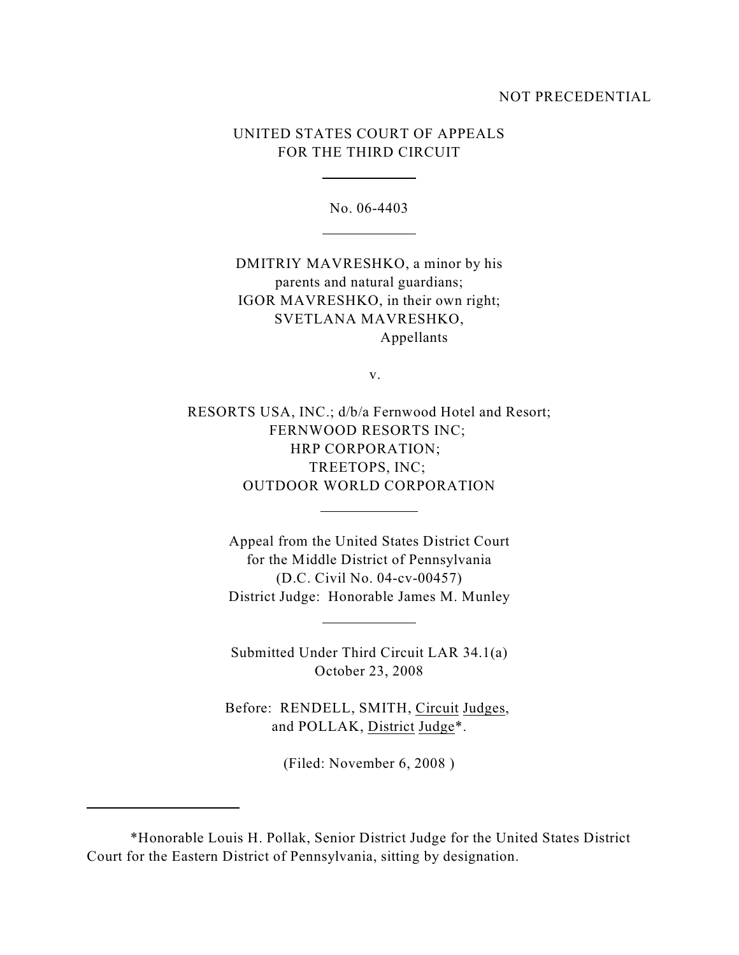#### NOT PRECEDENTIAL

# UNITED STATES COURT OF APPEALS FOR THE THIRD CIRCUIT

 $\overline{a}$ 

l

l

 $\overline{a}$ 

l

No. 06-4403

DMITRIY MAVRESHKO, a minor by his parents and natural guardians; IGOR MAVRESHKO, in their own right; SVETLANA MAVRESHKO, Appellants

v.

RESORTS USA, INC.; d/b/a Fernwood Hotel and Resort; FERNWOOD RESORTS INC; HRP CORPORATION; TREETOPS, INC; OUTDOOR WORLD CORPORATION

> Appeal from the United States District Court for the Middle District of Pennsylvania (D.C. Civil No. 04-cv-00457) District Judge: Honorable James M. Munley

Submitted Under Third Circuit LAR 34.1(a) October 23, 2008

Before: RENDELL, SMITH, Circuit Judges, and POLLAK, District Judge\*.

(Filed: November 6, 2008 )

<sup>\*</sup>Honorable Louis H. Pollak, Senior District Judge for the United States District Court for the Eastern District of Pennsylvania, sitting by designation.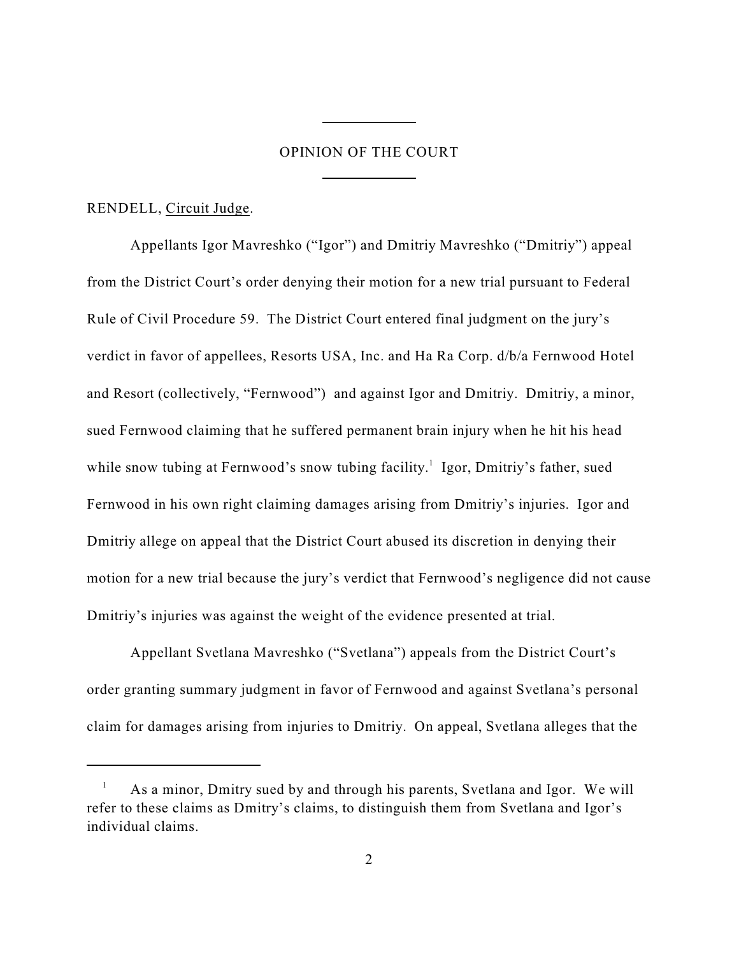# OPINION OF THE COURT

 $\overline{a}$ 

 $\overline{a}$ 

RENDELL, Circuit Judge.

Appellants Igor Mavreshko ("Igor") and Dmitriy Mavreshko ("Dmitriy") appeal from the District Court's order denying their motion for a new trial pursuant to Federal Rule of Civil Procedure 59. The District Court entered final judgment on the jury's verdict in favor of appellees, Resorts USA, Inc. and Ha Ra Corp. d/b/a Fernwood Hotel and Resort (collectively, "Fernwood") and against Igor and Dmitriy. Dmitriy, a minor, sued Fernwood claiming that he suffered permanent brain injury when he hit his head while snow tubing at Fernwood's snow tubing facility.<sup>1</sup> Igor, Dmitriy's father, sued Fernwood in his own right claiming damages arising from Dmitriy's injuries. Igor and Dmitriy allege on appeal that the District Court abused its discretion in denying their motion for a new trial because the jury's verdict that Fernwood's negligence did not cause Dmitriy's injuries was against the weight of the evidence presented at trial.

Appellant Svetlana Mavreshko ("Svetlana") appeals from the District Court's order granting summary judgment in favor of Fernwood and against Svetlana's personal claim for damages arising from injuries to Dmitriy. On appeal, Svetlana alleges that the

As a minor, Dmitry sued by and through his parents, Svetlana and Igor. We will <sup>1</sup> refer to these claims as Dmitry's claims, to distinguish them from Svetlana and Igor's individual claims.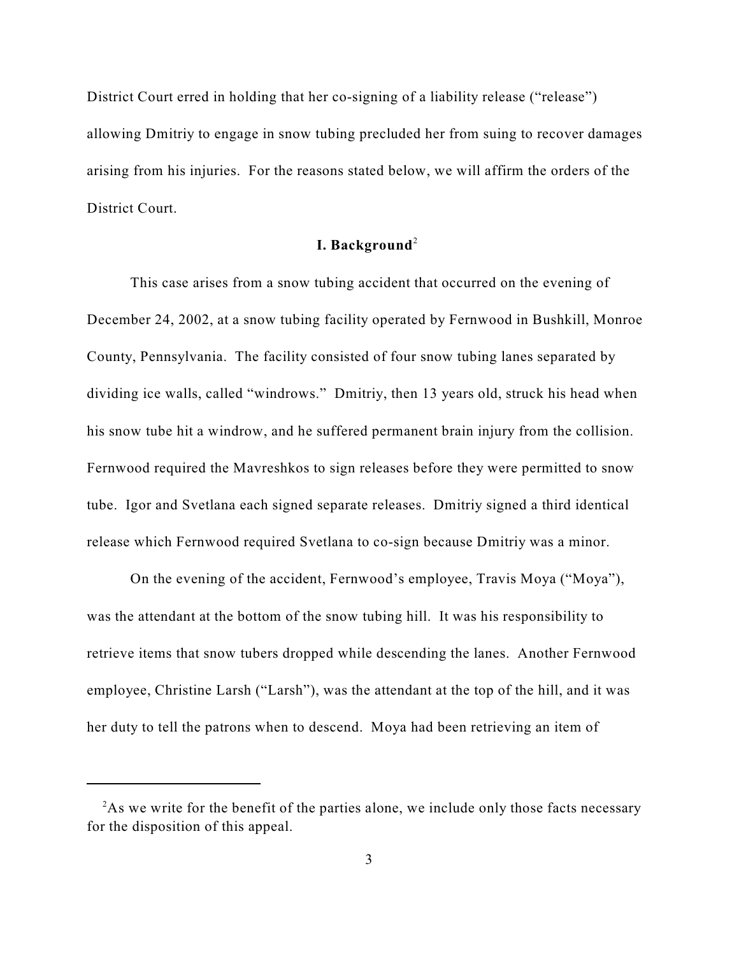District Court erred in holding that her co-signing of a liability release ("release") allowing Dmitriy to engage in snow tubing precluded her from suing to recover damages arising from his injuries. For the reasons stated below, we will affirm the orders of the District Court.

# **I. Background**<sup>2</sup>

This case arises from a snow tubing accident that occurred on the evening of December 24, 2002, at a snow tubing facility operated by Fernwood in Bushkill, Monroe County, Pennsylvania. The facility consisted of four snow tubing lanes separated by dividing ice walls, called "windrows." Dmitriy, then 13 years old, struck his head when his snow tube hit a windrow, and he suffered permanent brain injury from the collision. Fernwood required the Mavreshkos to sign releases before they were permitted to snow tube. Igor and Svetlana each signed separate releases. Dmitriy signed a third identical release which Fernwood required Svetlana to co-sign because Dmitriy was a minor.

On the evening of the accident, Fernwood's employee, Travis Moya ("Moya"), was the attendant at the bottom of the snow tubing hill. It was his responsibility to retrieve items that snow tubers dropped while descending the lanes. Another Fernwood employee, Christine Larsh ("Larsh"), was the attendant at the top of the hill, and it was her duty to tell the patrons when to descend. Moya had been retrieving an item of

 $A<sup>2</sup>$ As we write for the benefit of the parties alone, we include only those facts necessary for the disposition of this appeal.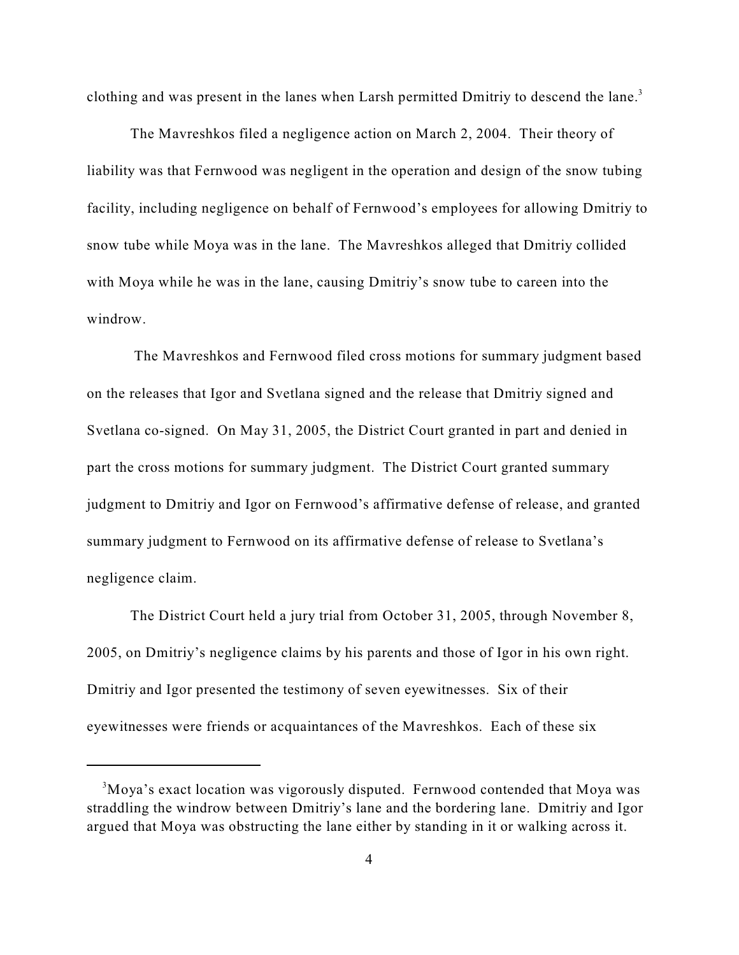clothing and was present in the lanes when Larsh permitted Dmitriy to descend the lane.<sup>3</sup>

The Mavreshkos filed a negligence action on March 2, 2004. Their theory of liability was that Fernwood was negligent in the operation and design of the snow tubing facility, including negligence on behalf of Fernwood's employees for allowing Dmitriy to snow tube while Moya was in the lane. The Mavreshkos alleged that Dmitriy collided with Moya while he was in the lane, causing Dmitriy's snow tube to careen into the windrow.

 The Mavreshkos and Fernwood filed cross motions for summary judgment based on the releases that Igor and Svetlana signed and the release that Dmitriy signed and Svetlana co-signed. On May 31, 2005, the District Court granted in part and denied in part the cross motions for summary judgment. The District Court granted summary judgment to Dmitriy and Igor on Fernwood's affirmative defense of release, and granted summary judgment to Fernwood on its affirmative defense of release to Svetlana's negligence claim.

The District Court held a jury trial from October 31, 2005, through November 8, 2005, on Dmitriy's negligence claims by his parents and those of Igor in his own right. Dmitriy and Igor presented the testimony of seven eyewitnesses. Six of their eyewitnesses were friends or acquaintances of the Mavreshkos. Each of these six

<sup>&</sup>lt;sup>3</sup>Moya's exact location was vigorously disputed. Fernwood contended that Moya was straddling the windrow between Dmitriy's lane and the bordering lane. Dmitriy and Igor argued that Moya was obstructing the lane either by standing in it or walking across it.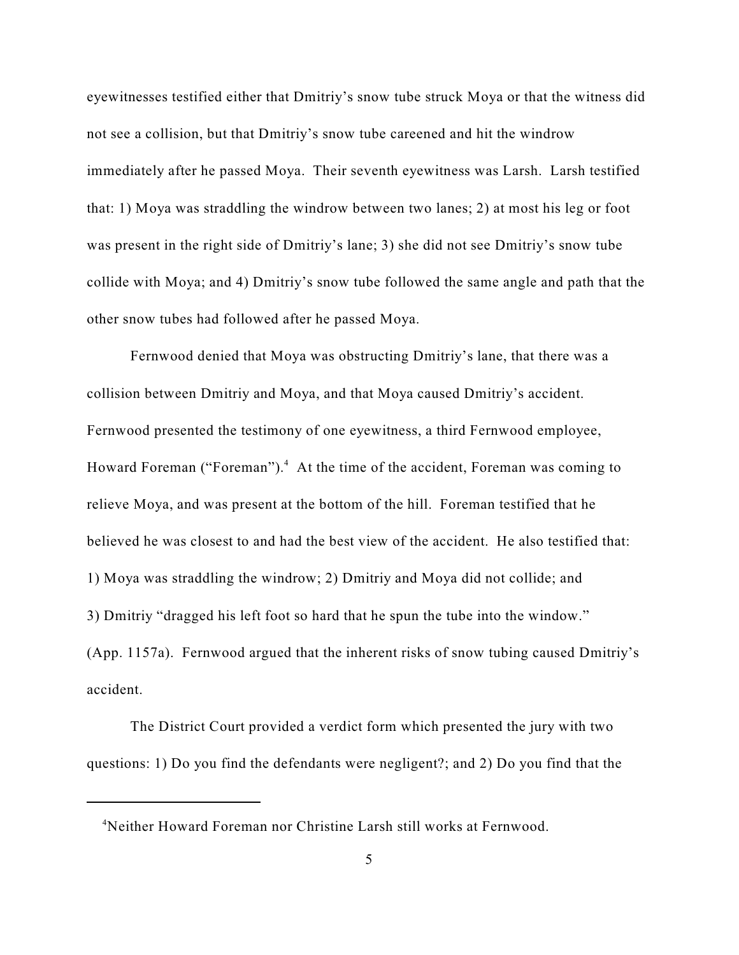eyewitnesses testified either that Dmitriy's snow tube struck Moya or that the witness did not see a collision, but that Dmitriy's snow tube careened and hit the windrow immediately after he passed Moya. Their seventh eyewitness was Larsh. Larsh testified that: 1) Moya was straddling the windrow between two lanes; 2) at most his leg or foot was present in the right side of Dmitriy's lane; 3) she did not see Dmitriy's snow tube collide with Moya; and 4) Dmitriy's snow tube followed the same angle and path that the other snow tubes had followed after he passed Moya.

Fernwood denied that Moya was obstructing Dmitriy's lane, that there was a collision between Dmitriy and Moya, and that Moya caused Dmitriy's accident. Fernwood presented the testimony of one eyewitness, a third Fernwood employee, Howard Foreman ("Foreman").<sup>4</sup> At the time of the accident, Foreman was coming to relieve Moya, and was present at the bottom of the hill. Foreman testified that he believed he was closest to and had the best view of the accident. He also testified that: 1) Moya was straddling the windrow; 2) Dmitriy and Moya did not collide; and 3) Dmitriy "dragged his left foot so hard that he spun the tube into the window." (App. 1157a). Fernwood argued that the inherent risks of snow tubing caused Dmitriy's accident.

The District Court provided a verdict form which presented the jury with two questions: 1) Do you find the defendants were negligent?; and 2) Do you find that the

<sup>&</sup>lt;sup>4</sup>Neither Howard Foreman nor Christine Larsh still works at Fernwood.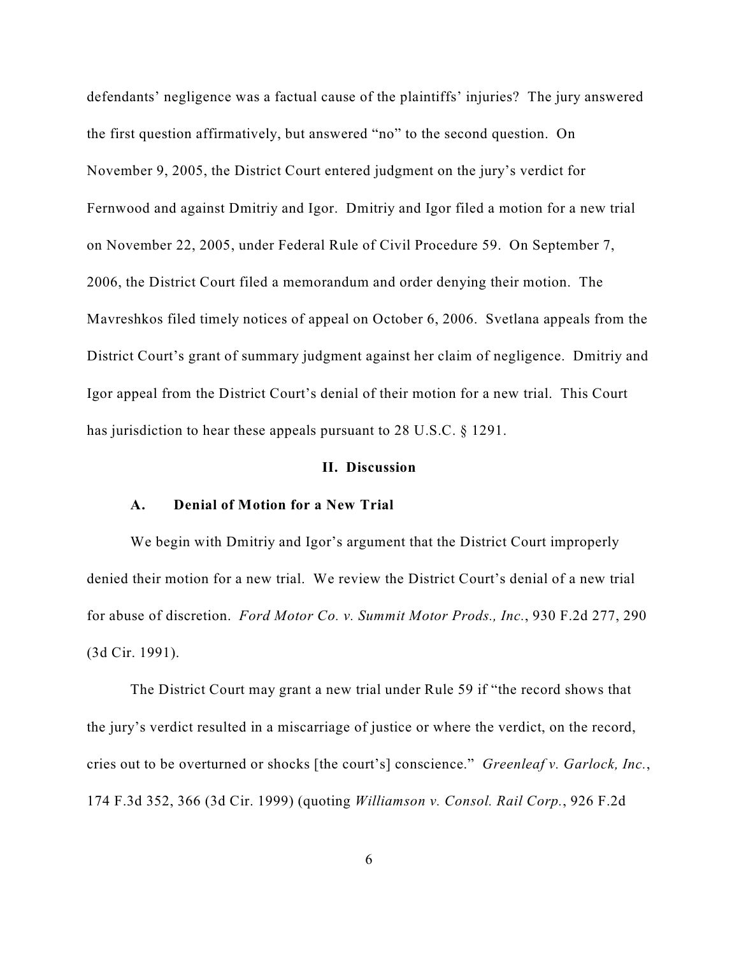defendants' negligence was a factual cause of the plaintiffs' injuries? The jury answered the first question affirmatively, but answered "no" to the second question. On November 9, 2005, the District Court entered judgment on the jury's verdict for Fernwood and against Dmitriy and Igor. Dmitriy and Igor filed a motion for a new trial on November 22, 2005, under Federal Rule of Civil Procedure 59. On September 7, 2006, the District Court filed a memorandum and order denying their motion. The Mavreshkos filed timely notices of appeal on October 6, 2006. Svetlana appeals from the District Court's grant of summary judgment against her claim of negligence. Dmitriy and Igor appeal from the District Court's denial of their motion for a new trial. This Court has jurisdiction to hear these appeals pursuant to 28 U.S.C. § 1291.

#### **II. Discussion**

# **A. Denial of Motion for a New Trial**

We begin with Dmitriy and Igor's argument that the District Court improperly denied their motion for a new trial. We review the District Court's denial of a new trial for abuse of discretion. *Ford Motor Co. v. Summit Motor Prods., Inc.*, 930 F.2d 277, 290 (3d Cir. 1991).

The District Court may grant a new trial under Rule 59 if "the record shows that the jury's verdict resulted in a miscarriage of justice or where the verdict, on the record, cries out to be overturned or shocks [the court's] conscience." *Greenleaf v. Garlock, Inc.*, 174 F.3d 352, 366 (3d Cir. 1999) (quoting *Williamson v. Consol. Rail Corp.*, 926 F.2d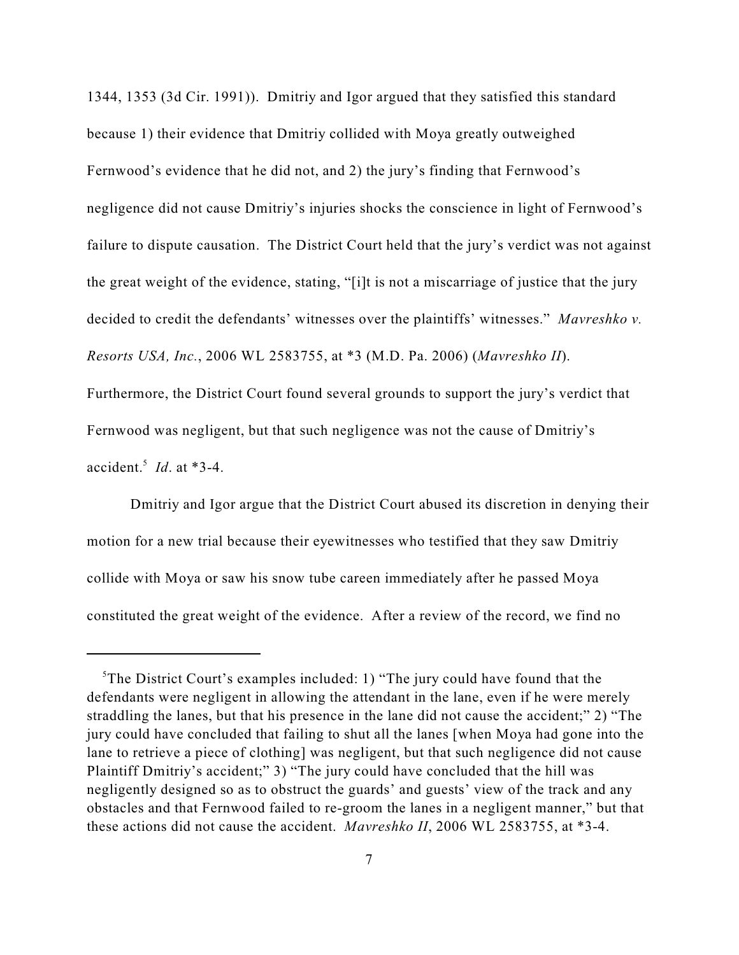1344, 1353 (3d Cir. 1991)). Dmitriy and Igor argued that they satisfied this standard because 1) their evidence that Dmitriy collided with Moya greatly outweighed Fernwood's evidence that he did not, and 2) the jury's finding that Fernwood's negligence did not cause Dmitriy's injuries shocks the conscience in light of Fernwood's failure to dispute causation. The District Court held that the jury's verdict was not against the great weight of the evidence, stating, "[i]t is not a miscarriage of justice that the jury decided to credit the defendants' witnesses over the plaintiffs' witnesses." *Mavreshko v. Resorts USA, Inc.*, 2006 WL 2583755, at \*3 (M.D. Pa. 2006) (*Mavreshko II*). Furthermore, the District Court found several grounds to support the jury's verdict that

accident.<sup>5</sup> *Id*. at  $*3-4$ .

Dmitriy and Igor argue that the District Court abused its discretion in denying their motion for a new trial because their eyewitnesses who testified that they saw Dmitriy collide with Moya or saw his snow tube careen immediately after he passed Moya constituted the great weight of the evidence. After a review of the record, we find no

Fernwood was negligent, but that such negligence was not the cause of Dmitriy's

 ${}^5$ The District Court's examples included: 1) "The jury could have found that the defendants were negligent in allowing the attendant in the lane, even if he were merely straddling the lanes, but that his presence in the lane did not cause the accident;" 2) "The jury could have concluded that failing to shut all the lanes [when Moya had gone into the lane to retrieve a piece of clothing] was negligent, but that such negligence did not cause Plaintiff Dmitriy's accident;" 3) "The jury could have concluded that the hill was negligently designed so as to obstruct the guards' and guests' view of the track and any obstacles and that Fernwood failed to re-groom the lanes in a negligent manner," but that these actions did not cause the accident. *Mavreshko II*, 2006 WL 2583755, at \*3-4.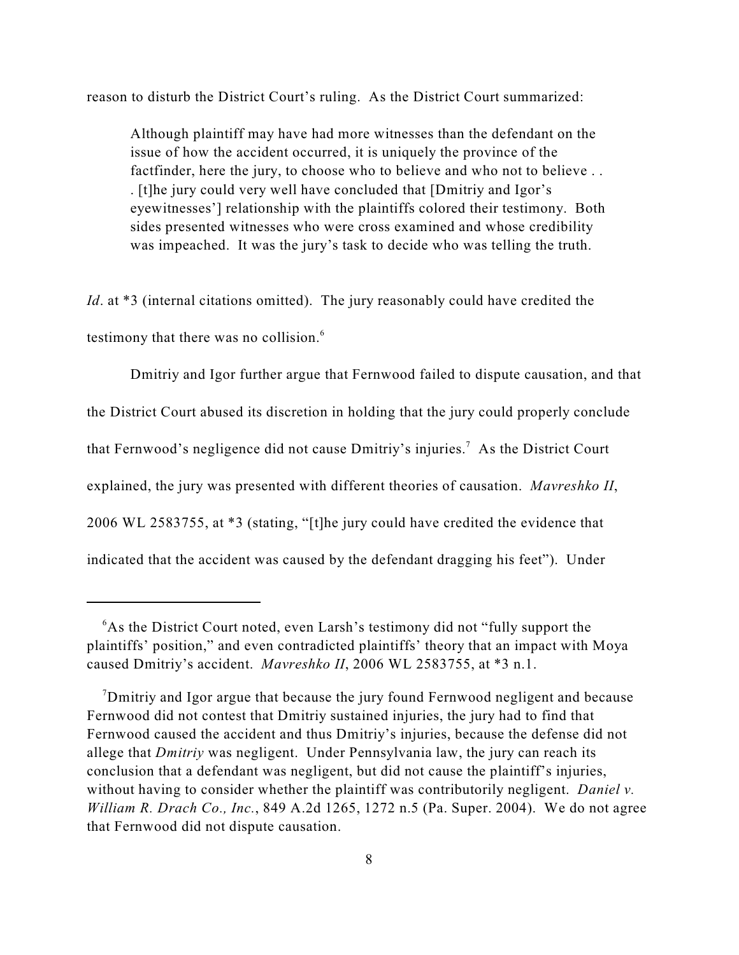reason to disturb the District Court's ruling. As the District Court summarized:

Although plaintiff may have had more witnesses than the defendant on the issue of how the accident occurred, it is uniquely the province of the factfinder, here the jury, to choose who to believe and who not to believe ... . [t]he jury could very well have concluded that [Dmitriy and Igor's eyewitnesses'] relationship with the plaintiffs colored their testimony. Both sides presented witnesses who were cross examined and whose credibility was impeached. It was the jury's task to decide who was telling the truth.

*Id*. at \*3 (internal citations omitted). The jury reasonably could have credited the testimony that there was no collision.<sup>6</sup>

Dmitriy and Igor further argue that Fernwood failed to dispute causation, and that the District Court abused its discretion in holding that the jury could properly conclude that Fernwood's negligence did not cause Dmitriy's injuries.<sup>7</sup> As the District Court explained, the jury was presented with different theories of causation. *Mavreshko II*, 2006 WL 2583755, at \*3 (stating, "[t]he jury could have credited the evidence that indicated that the accident was caused by the defendant dragging his feet"). Under

 $6$ As the District Court noted, even Larsh's testimony did not "fully support the plaintiffs' position," and even contradicted plaintiffs' theory that an impact with Moya caused Dmitriy's accident. *Mavreshko II*, 2006 WL 2583755, at \*3 n.1.

<sup>&</sup>lt;sup>7</sup>Dmitriy and Igor argue that because the jury found Fernwood negligent and because Fernwood did not contest that Dmitriy sustained injuries, the jury had to find that Fernwood caused the accident and thus Dmitriy's injuries, because the defense did not allege that *Dmitriy* was negligent. Under Pennsylvania law, the jury can reach its conclusion that a defendant was negligent, but did not cause the plaintiff's injuries, without having to consider whether the plaintiff was contributorily negligent. *Daniel v. William R. Drach Co., Inc.*, 849 A.2d 1265, 1272 n.5 (Pa. Super. 2004). We do not agree that Fernwood did not dispute causation.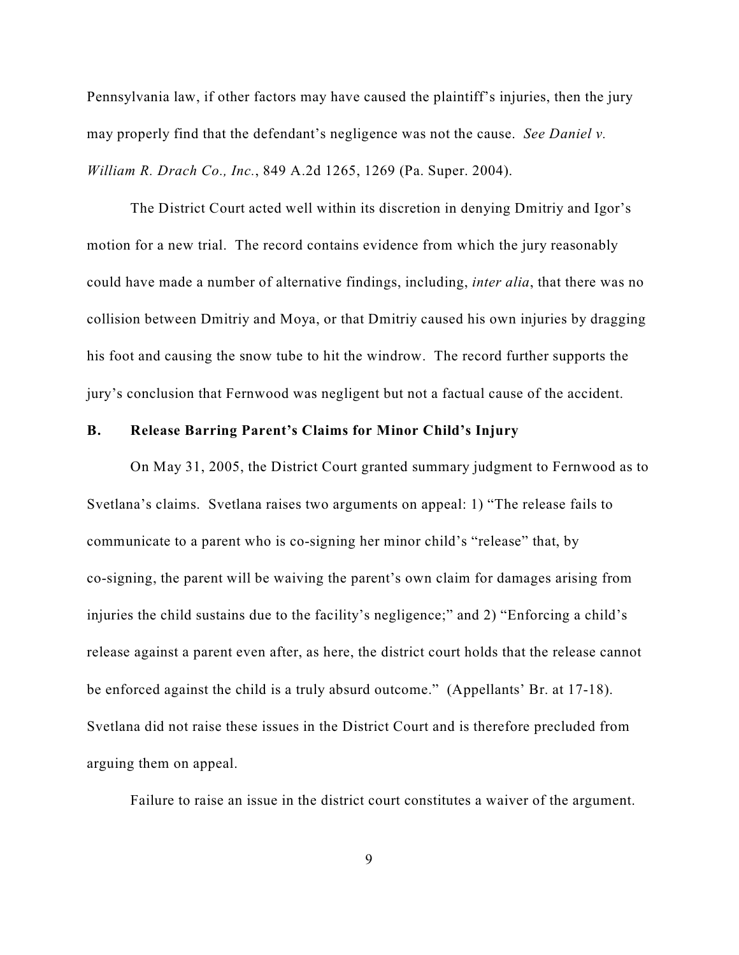Pennsylvania law, if other factors may have caused the plaintiff's injuries, then the jury may properly find that the defendant's negligence was not the cause. *See Daniel v. William R. Drach Co., Inc.*, 849 A.2d 1265, 1269 (Pa. Super. 2004).

The District Court acted well within its discretion in denying Dmitriy and Igor's motion for a new trial. The record contains evidence from which the jury reasonably could have made a number of alternative findings, including, *inter alia*, that there was no collision between Dmitriy and Moya, or that Dmitriy caused his own injuries by dragging his foot and causing the snow tube to hit the windrow. The record further supports the jury's conclusion that Fernwood was negligent but not a factual cause of the accident.

### **B. Release Barring Parent's Claims for Minor Child's Injury**

On May 31, 2005, the District Court granted summary judgment to Fernwood as to Svetlana's claims. Svetlana raises two arguments on appeal: 1) "The release fails to communicate to a parent who is co-signing her minor child's "release" that, by co-signing, the parent will be waiving the parent's own claim for damages arising from injuries the child sustains due to the facility's negligence;" and 2) "Enforcing a child's release against a parent even after, as here, the district court holds that the release cannot be enforced against the child is a truly absurd outcome." (Appellants' Br. at 17-18). Svetlana did not raise these issues in the District Court and is therefore precluded from arguing them on appeal.

Failure to raise an issue in the district court constitutes a waiver of the argument.

9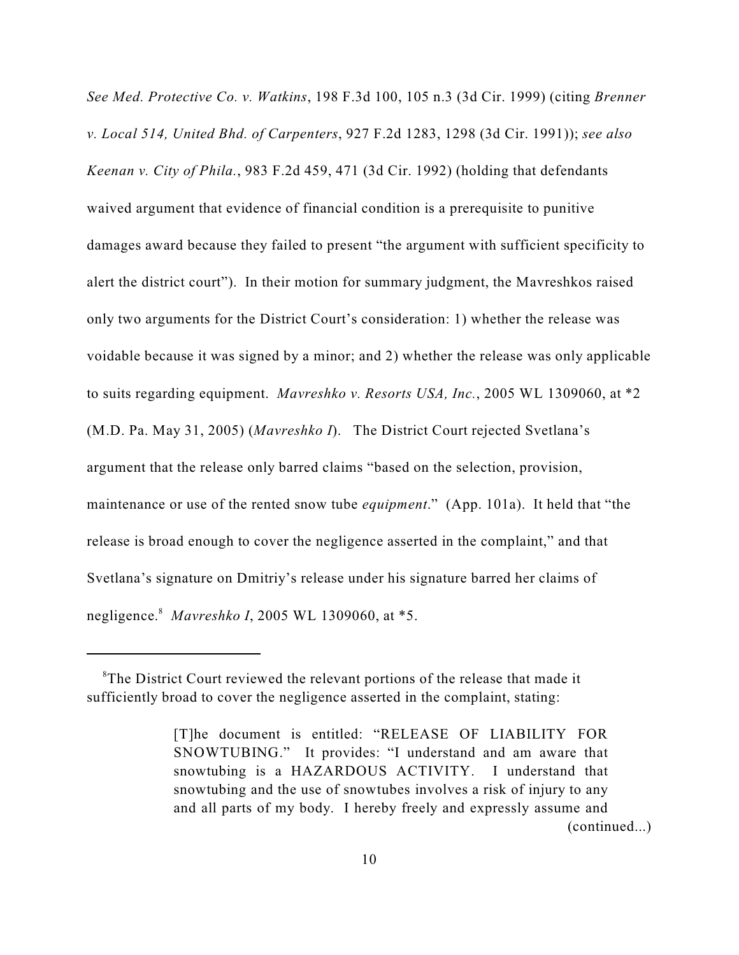*See Med. Protective Co. v. Watkins*, 198 F.3d 100, 105 n.3 (3d Cir. 1999) (citing *Brenner v. Local 514, United Bhd. of Carpenters*, 927 F.2d 1283, 1298 (3d Cir. 1991)); *see also Keenan v. City of Phila.*, 983 F.2d 459, 471 (3d Cir. 1992) (holding that defendants waived argument that evidence of financial condition is a prerequisite to punitive damages award because they failed to present "the argument with sufficient specificity to alert the district court"). In their motion for summary judgment, the Mavreshkos raised only two arguments for the District Court's consideration: 1) whether the release was voidable because it was signed by a minor; and 2) whether the release was only applicable to suits regarding equipment. *Mavreshko v. Resorts USA, Inc.*, 2005 WL 1309060, at \*2 (M.D. Pa. May 31, 2005) (*Mavreshko I*). The District Court rejected Svetlana's argument that the release only barred claims "based on the selection, provision, maintenance or use of the rented snow tube *equipment*." (App. 101a). It held that "the release is broad enough to cover the negligence asserted in the complaint," and that Svetlana's signature on Dmitriy's release under his signature barred her claims of negligence.<sup>8</sup> Mavreshko I, 2005 WL 1309060, at \*5.

 ${}^8$ The District Court reviewed the relevant portions of the release that made it sufficiently broad to cover the negligence asserted in the complaint, stating:

<sup>[</sup>T]he document is entitled: "RELEASE OF LIABILITY FOR SNOWTUBING." It provides: "I understand and am aware that snowtubing is a HAZARDOUS ACTIVITY. I understand that snowtubing and the use of snowtubes involves a risk of injury to any and all parts of my body. I hereby freely and expressly assume and (continued...)